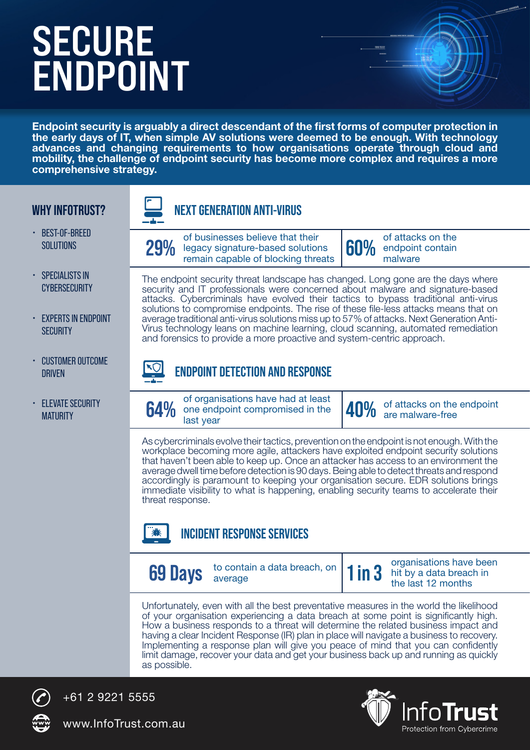# **SECURE ENDPOINT**

Endpoint security is arguably a direct descendant of the first forms of computer protection in the early days of IT, when simple AV solutions were deemed to be enough. With technology advances and changing requirements to how organisations operate through cloud and mobility, the challenge of endpoint security has become more complex and requires a more comprehensive strategy.

#### **WHY INFOTRUST?**



- **SPECIALISTS IN CYBERSECURITY**
- EXPERTS IN ENDPOINT **SECURITY**
- CUSTOMER OUTCOME **DRIVEN**
- **ELEVATE SECURITY MATURITY**



of businesses believe that their<br>**29%** legacy signature-based solutions<br>remain capable of blocking threat of businesses believe that their<br>legacy signature-based solutions **60%** endpoint contain<br>remain capable of blocking threats **60%** malware

endpoint contain malware

The endpoint security threat landscape has changed. Long gone are the days where security and IT professionals were concerned about malware and signature-based attacks. Cybercriminals have evolved their tactics to bypass traditional anti-virus solutions to compromise endpoints. The rise of these file-less attacks means that on average traditional anti-virus solutions miss up to 57% of attacks. Next Generation Anti-Virus technology leans on machine learning, cloud scanning, automated remediation and forensics to provide a more proactive and system-centric approach.

### **ENDPOINT DETECTION AND RESPONSE**

of organisations have had at least<br> **64%** one endpoint compromised in the<br>
last vear of organisations have had at least<br>one endpoint compromised in the **40%** of attacks on the endpoint<br>last year

As cybercriminals evolve their tactics, prevention on the endpoint is not enough. With the workplace becoming more agile, attackers have exploited endpoint security solutions that haven't been able to keep up. Once an attacker has access to an environment the average dwell time before detection is 90 days. Being able to detect threats and respond accordingly is paramount to keeping your organisation secure. EDR solutions brings immediate visibility to what is happening, enabling security teams to accelerate their threat response.



#### **INCIDENT RESPONSE SERVICES**

**69 Days** to conta

to contain a data breach, on  $\begin{vmatrix} 1 \\ 1 \end{vmatrix}$  **1** in 3<sup>2</sup> organisations have been hit by a data breach in the last 12 months

Unfortunately, even with all the best preventative measures in the world the likelihood of your organisation experiencing a data breach at some point is significantly high. How a business responds to a threat will determine the related business impact and having a clear Incident Response (IR) plan in place will navigate a business to recovery. Implementing a response plan will give you peace of mind that you can confidently limit damage, recover your data and get your business back up and running as quickly as possible.



+61 2 9221 5555

www.InfoTrust.com.au